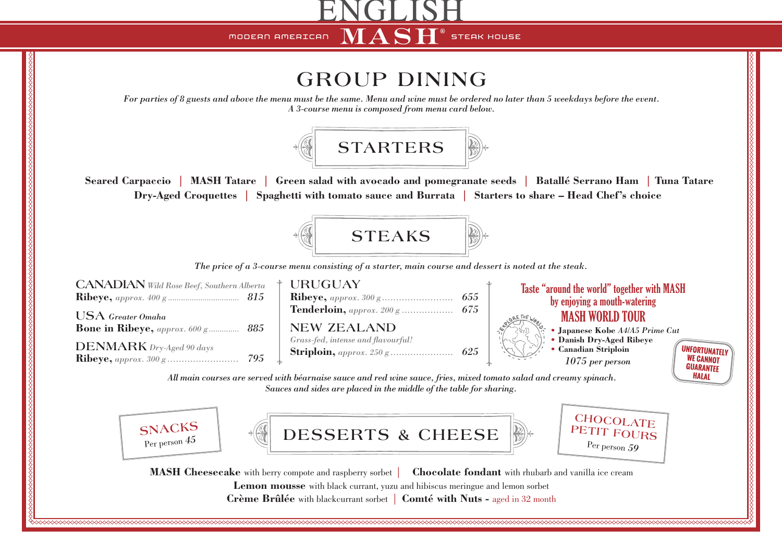MODERN AMERICAN

**STEAK HOUSE** 

## **GROUP DINING**

ENGLISH

ASH

*For parties of 8 guests and above the menu must be the same. Menu and wine must be ordered no later than 5 weekdays before the event. A 3-course menu is composed from menu card below.*



 **Seared Carpaccio | MASH Tatare | Green salad with avocado and pomegranate seeds | Batallé Serrano Ham | Tuna Tatare Dry-Aged Croquettes | Spaghetti with tomato sauce and Burrata | Starters to share – Head Chef's choice**



*The price of a 3-course menu consisting of a starter, main course and dessert is noted at the steak.*



**Crème Brûlée** with blackcurrant sorbet | **Comté with Nuts -** aged in 32 month